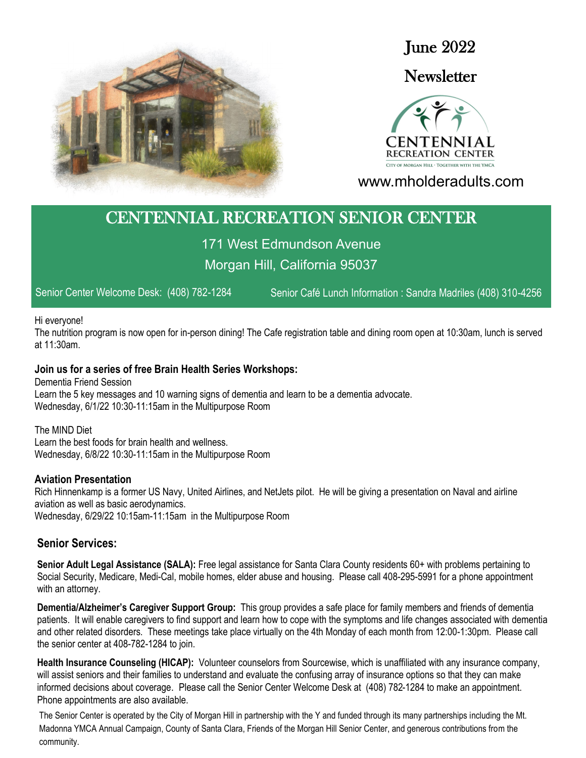

June 2022

## **Newsletter**



www.mholderadults.com

# CENTENNIAL RECREATION SENIOR CENTER

171 West Edmundson Avenue Morgan Hill, California 95037

Senior Center Welcome Desk: (408) 782-1284 Senior Café Lunch Information : Sandra Madriles (408) 310-4256

#### Hi everyone!

The nutrition program is now open for in-person dining! The Cafe registration table and dining room open at 10:30am, lunch is served at 11:30am.

#### **Join us for a series of free Brain Health Series Workshops:**

Dementia Friend Session Learn the 5 key messages and 10 warning signs of dementia and learn to be a dementia advocate. Wednesday, 6/1/22 10:30-11:15am in the Multipurpose Room

The MIND Diet Learn the best foods for brain health and wellness. Wednesday, 6/8/22 10:30-11:15am in the Multipurpose Room

#### **Aviation Presentation**

Rich Hinnenkamp is a former US Navy, United Airlines, and NetJets pilot. He will be giving a presentation on Naval and airline aviation as well as basic aerodynamics. Wednesday, 6/29/22 10:15am-11:15am in the Multipurpose Room

## **Senior Services:**

**Senior Adult Legal Assistance (SALA):** Free legal assistance for Santa Clara County residents 60+ with problems pertaining to Social Security, Medicare, Medi-Cal, mobile homes, elder abuse and housing. Please call 408-295-5991 for a phone appointment with an attorney.

**Dementia/Alzheimer's Caregiver Support Group:** This group provides a safe place for family members and friends of dementia patients. It will enable caregivers to find support and learn how to cope with the symptoms and life changes associated with dementia and other related disorders. These meetings take place virtually on the 4th Monday of each month from 12:00-1:30pm. Please call the senior center at 408-782-1284 to join.

**Health Insurance Counseling (HICAP):** Volunteer counselors from Sourcewise, which is unaffiliated with any insurance company, will assist seniors and their families to understand and evaluate the confusing array of insurance options so that they can make informed decisions about coverage. Please call the Senior Center Welcome Desk at (408) 782-1284 to make an appointment. Phone appointments are also available.

The Senior Center is operated by the City of Morgan Hill in partnership with the Y and funded through its many partnerships including the Mt. Madonna YMCA Annual Campaign, County of Santa Clara, Friends of the Morgan Hill Senior Center, and generous contributions from the community.